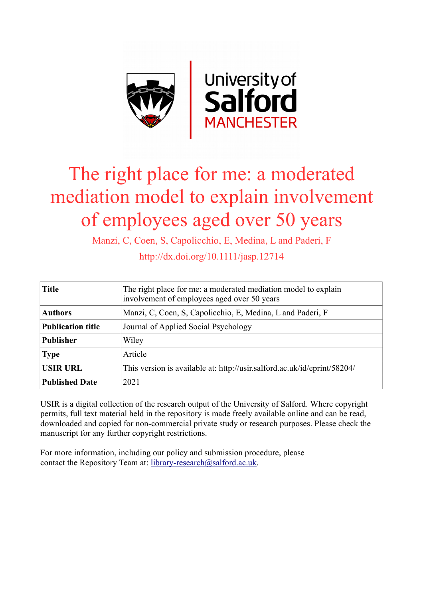

# The right place for me: a moderated mediation model to explain involvement of employees aged over 50 years

Manzi, C, Coen, S, Capolicchio, E, Medina, L and Paderi, F

http://dx.doi.org/10.1111/jasp.12714

| <b>Title</b>             | The right place for me: a moderated mediation model to explain<br>involvement of employees aged over 50 years |
|--------------------------|---------------------------------------------------------------------------------------------------------------|
| <b>Authors</b>           | Manzi, C, Coen, S, Capolicchio, E, Medina, L and Paderi, F                                                    |
| <b>Publication title</b> | Journal of Applied Social Psychology                                                                          |
| <b>Publisher</b>         | Wiley                                                                                                         |
| <b>Type</b>              | Article                                                                                                       |
| <b>USIR URL</b>          | This version is available at: http://usir.salford.ac.uk/id/eprint/58204/                                      |
| <b>Published Date</b>    | 2021                                                                                                          |

USIR is a digital collection of the research output of the University of Salford. Where copyright permits, full text material held in the repository is made freely available online and can be read, downloaded and copied for non-commercial private study or research purposes. Please check the manuscript for any further copyright restrictions.

For more information, including our policy and submission procedure, please contact the Repository Team at: [library-research@salford.ac.uk.](mailto:library-research@salford.ac.uk)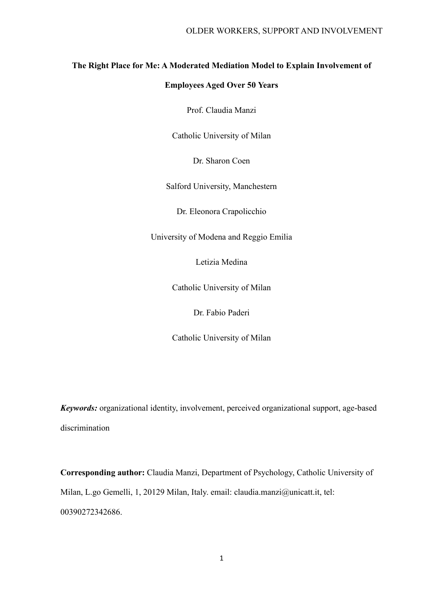### **The Right Place for Me: A Moderated Mediation Model to Explain Involvement of**

### **Employees Aged Over 50 Years**

Prof. Claudia Manzi

Catholic University of Milan

Dr. Sharon Coen

Salford University, Manchestern

Dr. Eleonora Crapolicchio

University of Modena and Reggio Emilia

Letizia Medina

Catholic University of Milan

Dr. Fabio Paderi

Catholic University of Milan

*Keywords:* organizational identity, involvement, perceived organizational support, age-based discrimination

**Corresponding author:** Claudia Manzi, Department of Psychology, Catholic University of Milan, L.go Gemelli, 1, 20129 Milan, Italy. email: claudia.manzi@unicatt.it, tel: 00390272342686.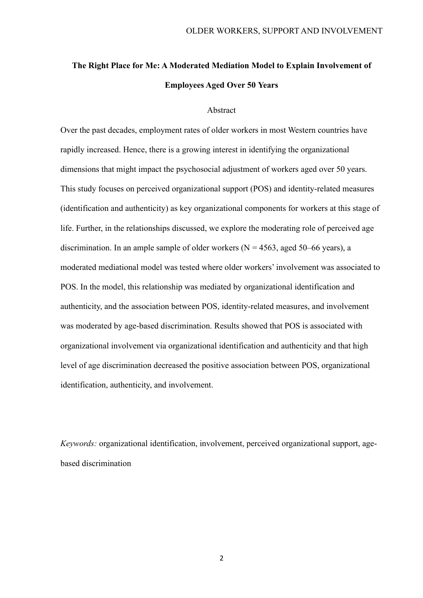# **The Right Place for Me: A Moderated Mediation Model to Explain Involvement of Employees Aged Over 50 Years**

#### Abstract

Over the past decades, employment rates of older workers in most Western countries have rapidly increased. Hence, there is a growing interest in identifying the organizational dimensions that might impact the psychosocial adjustment of workers aged over 50 years. This study focuses on perceived organizational support (POS) and identity-related measures (identification and authenticity) as key organizational components for workers at this stage of life. Further, in the relationships discussed, we explore the moderating role of perceived age discrimination. In an ample sample of older workers ( $N = 4563$ , aged 50–66 years), a moderated mediational model was tested where older workers' involvement was associated to POS. In the model, this relationship was mediated by organizational identification and authenticity, and the association between POS, identity-related measures, and involvement was moderated by age-based discrimination. Results showed that POS is associated with organizational involvement via organizational identification and authenticity and that high level of age discrimination decreased the positive association between POS, organizational identification, authenticity, and involvement.

*Keywords:* organizational identification, involvement, perceived organizational support, agebased discrimination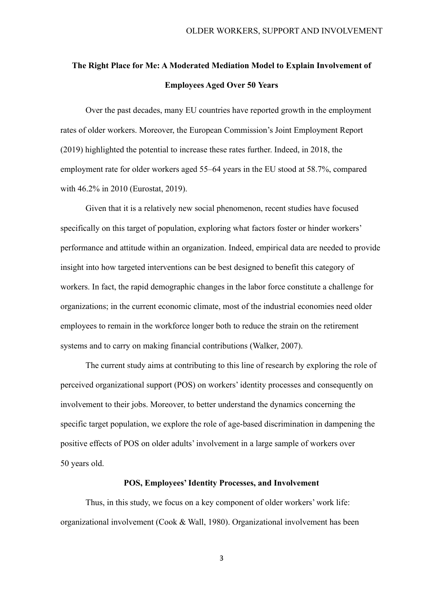# **The Right Place for Me: A Moderated Mediation Model to Explain Involvement of Employees Aged Over 50 Years**

Over the past decades, many EU countries have reported growth in the employment rates of older workers. Moreover, the European Commission's Joint Employment Report (2019) highlighted the potential to increase these rates further. Indeed, in 2018, the employment rate for older workers aged 55–64 years in the EU stood at 58.7%, compared with 46.2% in 2010 (Eurostat, 2019).

Given that it is a relatively new social phenomenon, recent studies have focused specifically on this target of population, exploring what factors foster or hinder workers' performance and attitude within an organization. Indeed, empirical data are needed to provide insight into how targeted interventions can be best designed to benefit this category of workers. In fact, the rapid demographic changes in the labor force constitute a challenge for organizations; in the current economic climate, most of the industrial economies need older employees to remain in the workforce longer both to reduce the strain on the retirement systems and to carry on making financial contributions (Walker, 2007).

The current study aims at contributing to this line of research by exploring the role of perceived organizational support (POS) on workers' identity processes and consequently on involvement to their jobs. Moreover, to better understand the dynamics concerning the specific target population, we explore the role of age-based discrimination in dampening the positive effects of POS on older adults' involvement in a large sample of workers over 50 years old.

#### **POS, Employees' Identity Processes, and Involvement**

Thus, in this study, we focus on a key component of older workers' work life: organizational involvement (Cook & Wall, 1980). Organizational involvement has been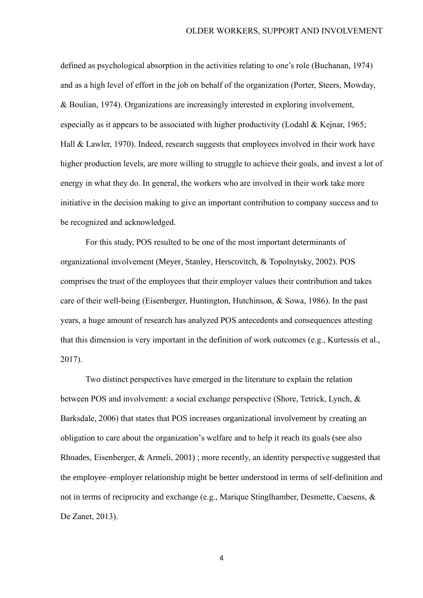defined as psychological absorption in the activities relating to one's role (Buchanan, 1974) and as a high level of effort in the job on behalf of the organization (Porter, Steers, Mowday, & Boulian, 1974). Organizations are increasingly interested in exploring involvement, especially as it appears to be associated with higher productivity (Lodahl & Kejnar, 1965; Hall & Lawler, 1970). Indeed, research suggests that employees involved in their work have higher production levels, are more willing to struggle to achieve their goals, and invest a lot of energy in what they do. In general, the workers who are involved in their work take more initiative in the decision making to give an important contribution to company success and to be recognized and acknowledged.

For this study, POS resulted to be one of the most important determinants of organizational involvement (Meyer, Stanley, Herscovitch, & Topolnytsky, 2002). POS comprises the trust of the employees that their employer values their contribution and takes care of their well-being (Eisenberger, Huntington, Hutchinson, & Sowa, 1986). In the past years, a huge amount of research has analyzed POS antecedents and consequences attesting that this dimension is very important in the definition of work outcomes (e.g., Kurtessis et al., 2017).

Two distinct perspectives have emerged in the literature to explain the relation between POS and involvement: a social exchange perspective (Shore, Tetrick, Lynch, & Barksdale, 2006) that states that POS increases organizational involvement by creating an obligation to care about the organization's welfare and to help it reach its goals (see also Rhoades, Eisenberger, & Armeli, 2001) ; more recently, an identity perspective suggested that the employee–employer relationship might be better understood in terms of self-definition and not in terms of reciprocity and exchange (e.g., [Marique](https://journals.sagepub.com/author/Marique%2C+Géraldine) [Stinglhamber,](https://journals.sagepub.com/author/Stinglhamber%2C+Florence) [Desmette,](https://journals.sagepub.com/author/Desmette%2C+Donatienne) [Caesens,](https://journals.sagepub.com/author/Caesens%2C+Gaëtane) & [De Zanet,](https://journals.sagepub.com/author/de+Zanet%2C+Fabrice) 2013).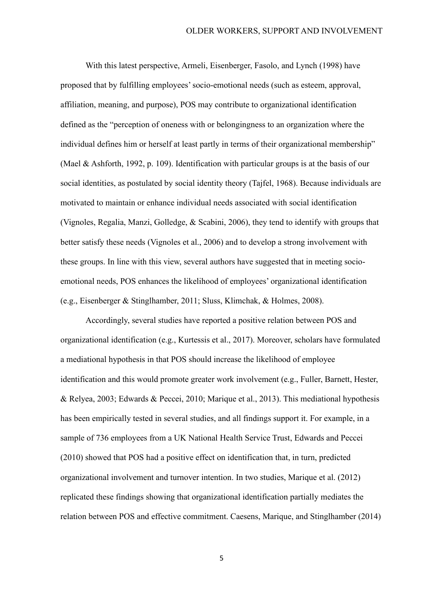With this latest perspective[, Armeli, Eisenberger, Fasolo, and Lynch \(1998\)](https://journals.sagepub.com/doi/full/10.1177/0149206315575554) have proposed that by fulfilling employees' socio-emotional needs (such as esteem, approval, affiliation, meaning, and purpose), POS may contribute to organizational identification defined as the "perception of oneness with or belongingness to an organization where the individual defines him or herself at least partly in terms of their organizational membership" (Mael & Ashforth, 1992, p. 109). Identification with particular groups is at the basis of our social identities, as postulated by social identity theory (Tajfel, 1968). Because individuals are motivated to maintain or enhance individual needs associated with social identification (Vignoles, Regalia, Manzi, Golledge, & Scabini, 2006), they tend to identify with groups that better satisfy these needs (Vignoles et al., 2006) and to develop a strong involvement with these groups. In line with this view, several authors have suggested that in meeting socioemotional needs, POS enhances the likelihood of employees' organizational identification (e.g., [Eisenberger & Stinglhamber, 2011; Sluss, Klimchak, & Holmes, 2008\)](https://journals.sagepub.com/doi/full/10.1177/1059601112457200).

Accordingly, several studies have reported a positive relation between POS and organizational identification (e.g., Kurtessis et al., 2017). Moreover, scholars have formulated a mediational hypothesis in that POS should increase the likelihood of employee identification and this would promote greater work involvement (e.g., Fuller, Barnett, Hester, & Relyea, 2003; Edwards & Peccei, 2010; [Marique](https://journals.sagepub.com/author/Marique%2C+Géraldine) et al., 2013). This mediational hypothesis has been empirically tested in several studies, and all findings support it. For example, in a sample of 736 employees from a UK National Health Service Trust, Edwards and Peccei (2010) showed that POS had a positive effect on identification that, in turn, predicted organizational involvement and turnover intention. [In two studies, Marique](https://journals.sagepub.com/author/Marique%2C+Géraldine) et al. (2012) replicated these findings showing that organizational identification partially mediates the relation between POS and effective commitment. [Caesens,](https://econtent.hogrefe.com/author/Caesens%2C+Gaëtane) [Marique,](https://econtent.hogrefe.com/author/Marique%2C+Géraldine) and Stinglhamber (2014)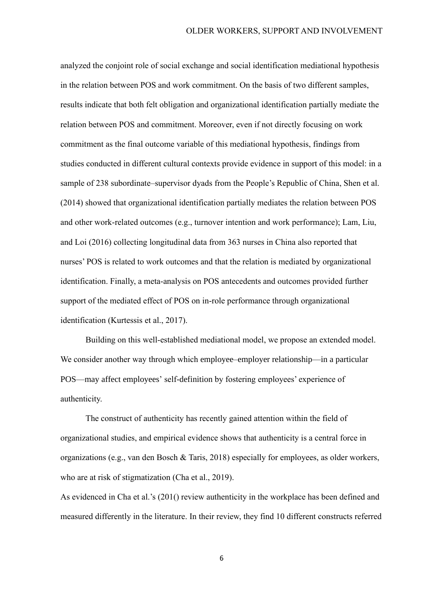analyzed the conjoint role of social exchange and social identification mediational hypothesis in the relation between POS and work commitment. On the basis of two different samples, results indicate that both felt obligation and organizational identification partially mediate the relation between POS and commitment. Moreover, even if not directly focusing on work commitment as the final outcome variable of this mediational hypothesis, findings from studies conducted in different cultural contexts provide evidence in support of this model: in a sample of 238 subordinate–supervisor dyads from the People's Republic of China, Shen et al. (2014) showed that organizational identification partially mediates the relation between POS and other work-related outcomes (e.g., turnover intention and work performance); [Lam, Liu,](https://journals.sagepub.com/doi/full/10.1177/0018726715584689) and Loi (2016) collecting longitudinal data from 363 nurses in China also reported that nurses' POS is related to work outcomes and that the relation is mediated by organizational identification. Finally, a meta-analysis on POS antecedents and outcomes provided further support of the mediated effect of POS on in-role performance through organizational identification (Kurtessis et al., 2017).

Building on this well-established mediational model, we propose an extended model. We consider another way through which employee–employer relationship—in a particular POS—may affect employees' self-definition by fostering employees' experience of authenticity.

The construct of authenticity has recently gained attention within the field of organizational studies, and empirical evidence shows that authenticity is a central force in organizations (e.g., van den Bosch & Taris, 2018) especially for employees, as older workers, who are at risk of stigmatization (Cha et al., 2019).

As evidenced in Cha et al.'s (201() review authenticity in the workplace has been defined and measured differently in the literature. In their review, they find 10 different constructs referred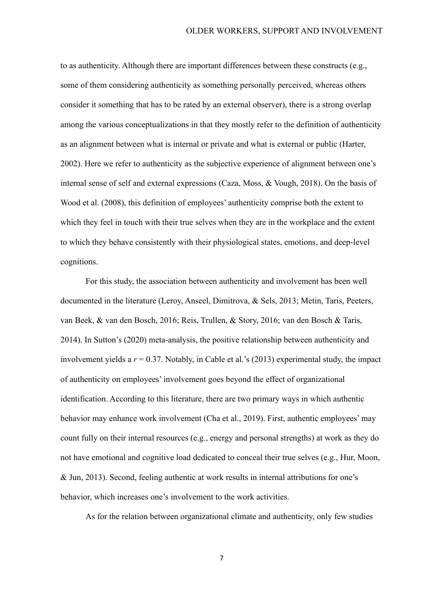to as authenticity. Although there are important differences between these constructs (e.g., some of them considering authenticity as something personally perceived, whereas others consider it something that has to be rated by an external observer), there is a strong overlap among the various conceptualizations in that they mostly refer to the definition of authenticity as an alignment between what is internal or private and what is external or public (Harter, 2002). Here we refer to authenticity as the subjective experience of alignment between one's internal sense of self and external expressions (Caza, Moss, & Vough, 2018). On the basis of Wood et al. (2008), this definition of employees' authenticity comprise both the extent to which they feel in touch with their true selves when they are in the workplace and the extent to which they behave consistently with their physiological states, emotions, and deep-level cognitions.

For this study, the association between authenticity and involvement has been well documented in the literature (Leroy, Anseel, Dimitrova, & Sels, 2013; Metin, Taris, Peeters, van Beek, & van den Bosch, 2016; Reis, Trullen, & Story, 2016; van den Bosch & Taris, 2014). In Sutton's (2020) meta-analysis, the positive relationship between authenticity and involvement yields a *r* = 0.37. Notably, in Cable et al.'s (2013) experimental study, the impact of authenticity on employees' involvement goes beyond the effect of organizational identification. According to this literature, there are two primary ways in which authentic behavior may enhance work involvement (Cha et al., 2019). First, authentic employees' may count fully on their internal resources (e.g., energy and personal strengths) at work as they do not have emotional and cognitive load dedicated to conceal their true selves (e.g., [Hur,](https://www.emerald.com/insight/search?q=Won‐Moo%20Hur) Moon, & Jun, 2013). Second, feeling authentic at work results in internal attributions for one's behavior, which increases one's involvement to the work activities.

As for the relation between organizational climate and authenticity, only few studies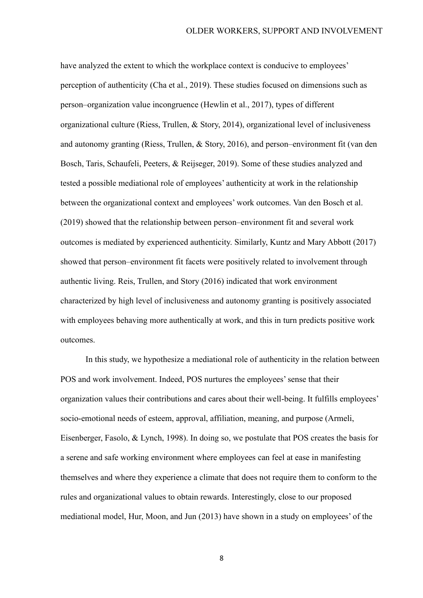have analyzed the extent to which the workplace context is conducive to employees' perception of authenticity (Cha et al., 2019). These studies focused on dimensions such as person–organization value incongruence (Hewlin et al., 2017), types of different organizational culture (Riess, Trullen, & Story, 2014), organizational level of inclusiveness and autonomy granting (Riess, Trullen, & Story, 2016), and person–environment fit (van den Bosch, Taris, Schaufeli, Peeters, & Reijseger, 2019). Some of these studies analyzed and tested a possible mediational role of employees' authenticity at work in the relationship between the organizational context and employees' work outcomes. Van den Bosch et al. (2019) showed that the relationship between person–environment fit and several work outcomes is mediated by experienced authenticity. Similarly[, Kuntz and](https://www.emerald.com/insight/search?q=Joana%20R.C.%20Kuntz) [Mary Abbott](https://www.emerald.com/insight/search?q=Mary%20Abbott) (2017) showed that person–environment fit facets were positively related to involvement through authentic living. [Reis,](https://journals.aom.org/doi/abs/10.5465/ambpp.2014.15476abstract) Trullen, and Story (2016) indicated that work environment characterized by high level of inclusiveness and autonomy granting is positively associated with employees behaving more authentically at work, and this in turn predicts positive work outcomes.

In this study, we hypothesize a mediational role of authenticity in the relation between POS and work involvement. Indeed, POS nurtures the employees' sense that their organization values their contributions and cares about their well-being. It fulfills employees' socio-emotional needs of esteem, approval, affiliation, meaning, and purpose (Armeli, Eisenberger, Fasolo, & Lynch, 1998). In doing so, we postulate that POS creates the basis for a serene and safe working environment where employees can feel at ease in manifesting themselves and where they experience a climate that does not require them to conform to the rules and organizational values to obtain rewards. Interestingly, close to our proposed mediational model, [Hur,](https://www.emerald.com/insight/search?q=Won‐Moo%20Hur) Moon, and Jun (2013) have shown in a study on employees' of the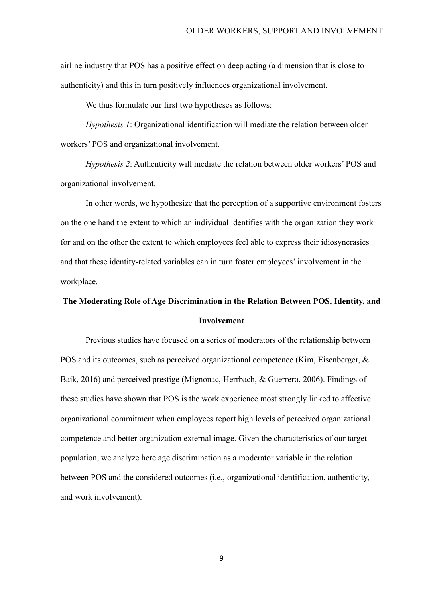airline industry that POS has a positive effect on deep acting (a dimension that is close to authenticity) and this in turn positively influences organizational involvement.

We thus formulate our first two hypotheses as follows:

*Hypothesis 1*: Organizational identification will mediate the relation between older workers' POS and organizational involvement.

*Hypothesis 2*: Authenticity will mediate the relation between older workers' POS and organizational involvement.

In other words, we hypothesize that the perception of a supportive environment fosters on the one hand the extent to which an individual identifies with the organization they work for and on the other the extent to which employees feel able to express their idiosyncrasies and that these identity-related variables can in turn foster employees' involvement in the workplace.

# **The Moderating Role of Age Discrimination in the Relation Between POS, Identity, and Involvement**

Previous studies have focused on a series of moderators of the relationship between POS and its outcomes, such as perceived organizational competence (Kim, Eisenberger, & Baik, 2016) and perceived prestige (Mignonac, Herrbach, & Guerrero, 2006). Findings of these studies have shown that POS is the work experience most strongly linked to affective organizational commitment when employees report high levels of perceived organizational competence and better organization external image. Given the characteristics of our target population, we analyze here age discrimination as a moderator variable in the relation between POS and the considered outcomes (i.e., organizational identification, authenticity, and work involvement).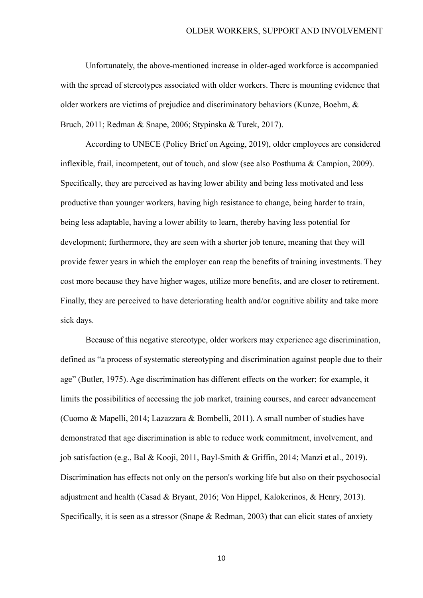Unfortunately, the above-mentioned increase in older-aged workforce is accompanied with the spread of stereotypes associated with older workers. There is mounting evidence that older workers are victims of prejudice and discriminatory behaviors (Kunze, Boehm, & Bruch, 2011; Redman & Snape, 2006; Stypinska & Turek, 2017).

According to UNECE (Policy Brief on Ageing, 2019), older employees are considered inflexible, frail, incompetent, out of touch, and slow (see also Posthuma & Campion, 2009). Specifically, they are perceived as having lower ability and being less motivated and less productive than younger workers, having high resistance to change, being harder to train, being less adaptable, having a lower ability to learn, thereby having less potential for development; furthermore, they are seen with a shorter job tenure, meaning that they will provide fewer years in which the employer can reap the benefits of training investments. They cost more because they have higher wages, utilize more benefits, and are closer to retirement. Finally, they are perceived to have deteriorating health and/or cognitive ability and take more sick days.

Because of this negative stereotype, older workers may experience age discrimination, defined as "a process of systematic stereotyping and discrimination against people due to their age" (Butler, 1975). Age discrimination has different effects on the worker; for example, it limits the possibilities of accessing the job market, training courses, and career advancement (Cuomo & Mapelli, 2014; Lazazzara & Bombelli, 2011). A small number of studies have demonstrated that age discrimination is able to reduce work commitment, involvement, and job satisfaction (e.g., Bal & Kooji, 2011, Bayl-Smith & Griffin, 2014; Manzi et al., 2019). Discrimination has effects not only on the person's working life but also on their psychosocial adjustment and health (Casad & Bryant, 2016; Von Hippel, Kalokerinos, & Henry, 2013). Specifically, it is seen as a stressor (Snape & Redman, 2003) that can elicit states of anxiety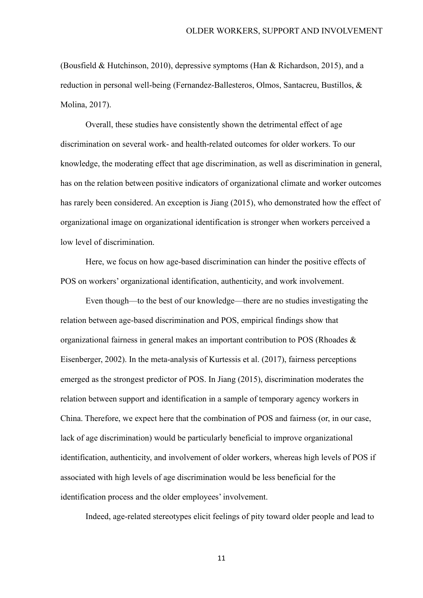(Bousfield & Hutchinson, 2010), depressive symptoms (Han & Richardson, 2015), and a reduction in personal well-being (Fernandez-Ballesteros, Olmos, Santacreu, Bustillos, & Molina, 2017).

Overall, these studies have consistently shown the detrimental effect of age discrimination on several work- and health-related outcomes for older workers. To our knowledge, the moderating effect that age discrimination, as well as discrimination in general, has on the relation between positive indicators of organizational climate and worker outcomes has rarely been considered. An exception is Jiang (2015), who demonstrated how the effect of organizational image on organizational identification is stronger when workers perceived a low level of discrimination.

Here, we focus on how age-based discrimination can hinder the positive effects of POS on workers' organizational identification, authenticity, and work involvement.

Even though—to the best of our knowledge—there are no studies investigating the relation between age-based discrimination and POS, empirical findings show that organizational fairness in general makes an important contribution to POS [\(Rhoades &](https://journals.sagepub.com/doi/full/10.1177/0149206315575554)  [Eisenberger, 2002\)](https://journals.sagepub.com/doi/full/10.1177/0149206315575554). In the meta-analysis of Kurtessis et al. (2017), fairness perceptions emerged as the strongest predictor of POS. In Jiang (2015), discrimination moderates the relation between support and identification in a sample of temporary agency workers in China. Therefore, we expect here that the combination of POS and fairness (or, in our case, lack of age discrimination) would be particularly beneficial to improve organizational identification, authenticity, and involvement of older workers, whereas high levels of POS if associated with high levels of age discrimination would be less beneficial for the identification process and the older employees' involvement.

Indeed, age-related stereotypes elicit feelings of pity toward older people and lead to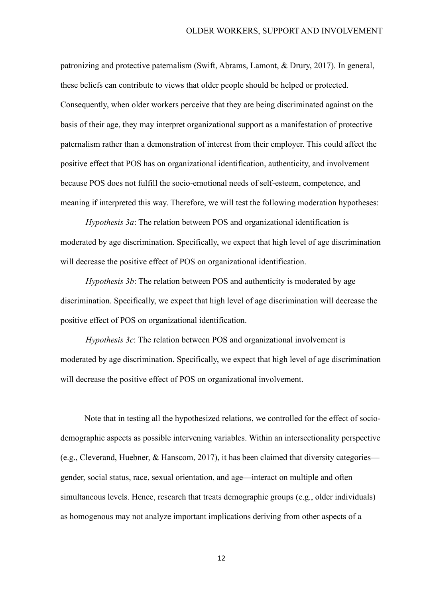patronizing and protective paternalism (Swift, Abrams, Lamont, & Drury, 2017). In general, these beliefs can contribute to views that older people should be helped or protected. Consequently, when older workers perceive that they are being discriminated against on the basis of their age, they may interpret organizational support as a manifestation of protective paternalism rather than a demonstration of interest from their employer. This could affect the positive effect that POS has on organizational identification, authenticity, and involvement because POS does not fulfill the socio-emotional needs of self-esteem, competence, and meaning if interpreted this way. Therefore, we will test the following moderation hypotheses:

*Hypothesis 3a*: The relation between POS and organizational identification is moderated by age discrimination. Specifically, we expect that high level of age discrimination will decrease the positive effect of POS on organizational identification.

*Hypothesis 3b*: The relation between POS and authenticity is moderated by age discrimination. Specifically, we expect that high level of age discrimination will decrease the positive effect of POS on organizational identification.

*Hypothesis 3c*: The relation between POS and organizational involvement is moderated by age discrimination. Specifically, we expect that high level of age discrimination will decrease the positive effect of POS on organizational involvement.

Note that in testing all the hypothesized relations, we controlled for the effect of sociodemographic aspects as possible intervening variables. Within an intersectionality perspective (e.g., Cleverand, Huebner, & Hanscom, 2017), it has been claimed that diversity categories gender, social status, race, sexual orientation, and age—interact on multiple and often simultaneous levels. Hence, research that treats demographic groups (e.g., older individuals) as homogenous may not analyze important implications deriving from other aspects of a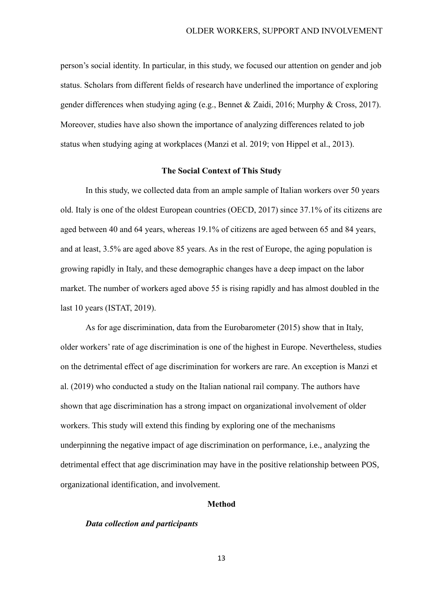person's social identity. In particular, in this study, we focused our attention on gender and job status. Scholars from different fields of research have underlined the importance of exploring gender differences when studying aging (e.g., Bennet & Zaidi, 2016; Murphy & Cross, 2017). Moreover, studies have also shown the importance of analyzing differences related to job status when studying aging at workplaces (Manzi et al. 2019; von Hippel et al., 2013).

#### **The Social Context of This Study**

In this study, we collected data from an ample sample of Italian workers over 50 years old. Italy is one of the oldest European countries (OECD, 2017) since 37.1% of its citizens are aged between 40 and 64 years, whereas 19.1% of citizens are aged between 65 and 84 years, and at least, 3.5% are aged above 85 years. As in the rest of Europe, the aging population is growing rapidly in Italy, and these demographic changes have a deep impact on the labor market. The number of workers aged above 55 is rising rapidly and has almost doubled in the last 10 years (ISTAT, 2019).

As for age discrimination, data from the Eurobarometer (2015) show that in Italy, older workers' rate of age discrimination is one of the highest in Europe. Nevertheless, studies on the detrimental effect of age discrimination for workers are rare. An exception is Manzi et al. (2019) who conducted a study on the Italian national rail company. The authors have shown that age discrimination has a strong impact on organizational involvement of older workers. This study will extend this finding by exploring one of the mechanisms underpinning the negative impact of age discrimination on performance, i.e., analyzing the detrimental effect that age discrimination may have in the positive relationship between POS, organizational identification, and involvement.

#### **Method**

#### *Data collection and participants*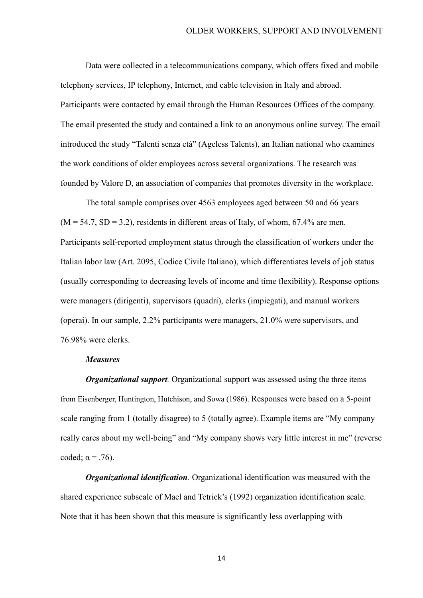Data were collected in a telecommunications company, which offers fixed and mobile telephony services, IP telephony, Internet, and cable television in Italy and abroad. Participants were contacted by email through the Human Resources Offices of the company. The email presented the study and contained a link to an anonymous online survey. The email introduced the study "Talenti senza età" (Ageless Talents), an Italian national who examines the work conditions of older employees across several organizations. The research was founded by Valore D, an association of companies that promotes diversity in the workplace.

The total sample comprises over 4563 employees aged between 50 and 66 years  $(M = 54.7, SD = 3.2)$ , residents in different areas of Italy, of whom, 67.4% are men. Participants self-reported employment status through the classification of workers under the Italian labor law (Art. 2095, Codice Civile Italiano), which differentiates levels of job status (usually corresponding to decreasing levels of income and time flexibility). Response options were managers (dirigenti), supervisors (quadri), clerks (impiegati), and manual workers (operai). In our sample, 2.2% participants were managers, 21.0% were supervisors, and 76.98% were clerks.

#### *Measures*

*Organizational support.* Organizational support was assessed using the three items from Eisenberger, Huntington, Hutchison, and Sowa (1986). Responses were based on a 5-point scale ranging from 1 (totally disagree) to 5 (totally agree). Example items are "My company really cares about my well-being" and "My company shows very little interest in me" (reverse coded;  $\alpha = .76$ ).

*Organizational identification.* Organizational identification was measured with the shared experience subscale of Mael and Tetrick's (1992) organization identification scale. Note that it has been shown that this measure is significantly less overlapping with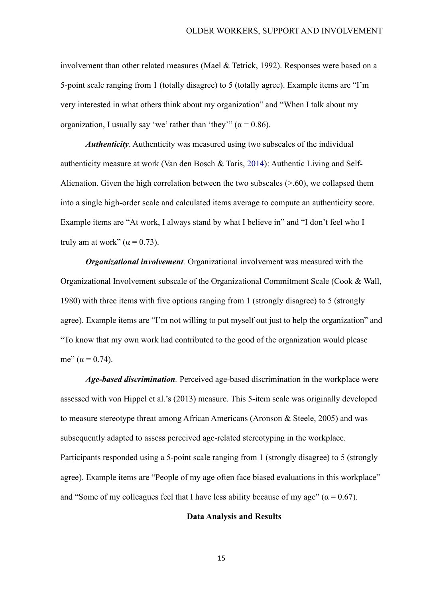involvement than other related measures (Mael & Tetrick, 1992). Responses were based on a 5-point scale ranging from 1 (totally disagree) to 5 (totally agree). Example items are "I'm very interested in what others think about my organization" and "When I talk about my organization, I usually say 'we' rather than 'they'" ( $\alpha$  = 0.86).

*Authenticity*. Authenticity was measured using two subscales of the individual authenticity measure at work (Van den Bosch & Taris, 2014): Authentic Living and Self-Alienation. Given the high correlation between the two subscales  $(>0.60)$ , we collapsed them into a single high-order scale and calculated items average to compute an authenticity score. Example items are "At work, I always stand by what I believe in" and "I don't feel who I truly am at work"  $(\alpha = 0.73)$ .

*Organizational involvement.* Organizational involvement was measured with the Organizational Involvement subscale of the Organizational Commitment Scale (Cook & Wall, 1980) with three items with five options ranging from 1 (strongly disagree) to 5 (strongly agree). Example items are "I'm not willing to put myself out just to help the organization" and "To know that my own work had contributed to the good of the organization would please me"  $(\alpha = 0.74)$ .

*Age-based discrimination.* Perceived age-based discrimination in the workplace were assessed with von Hippel et al.'s (2013) measure. This 5-item scale was originally developed to measure stereotype threat among African Americans (Aronson & Steele, 2005) and was subsequently adapted to assess perceived age-related stereotyping in the workplace. Participants responded using a 5-point scale ranging from 1 (strongly disagree) to 5 (strongly agree). Example items are "People of my age often face biased evaluations in this workplace" and "Some of my colleagues feel that I have less ability because of my age" ( $\alpha$  = 0.67).

### **Data Analysis and Results**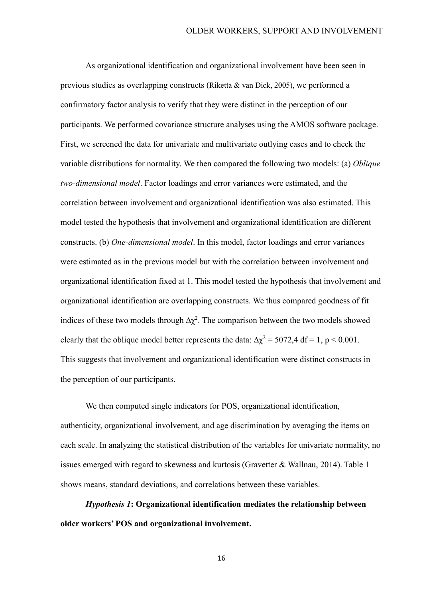As organizational identification and organizational involvement have been seen in previous studies as overlapping constructs (Riketta & van Dick, 2005), we performed a confirmatory factor analysis to verify that they were distinct in the perception of our participants. We performed covariance structure analyses using the AMOS software package. First, we screened the data for univariate and multivariate outlying cases and to check the variable distributions for normality. We then compared the following two models: (a) *Oblique two-dimensional model*. Factor loadings and error variances were estimated, and the correlation between involvement and organizational identification was also estimated. This model tested the hypothesis that involvement and organizational identification are different constructs. (b) *One-dimensional model*. In this model, factor loadings and error variances were estimated as in the previous model but with the correlation between involvement and organizational identification fixed at 1. This model tested the hypothesis that involvement and organizational identification are overlapping constructs. We thus compared goodness of fit indices of these two models through  $\Delta \chi^2$ . The comparison between the two models showed clearly that the oblique model better represents the data:  $\Delta \chi^2 = 5072.4$  df = 1, p < 0.001. This suggests that involvement and organizational identification were distinct constructs in the perception of our participants.

We then computed single indicators for POS, organizational identification, authenticity, organizational involvement, and age discrimination by averaging the items on each scale. In analyzing the statistical distribution of the variables for univariate normality, no issues emerged with regard to skewness and kurtosis (Gravetter & Wallnau, 2014). Table 1 shows means, standard deviations, and correlations between these variables.

*Hypothesis 1***: Organizational identification mediates the relationship between older workers' POS and organizational involvement.**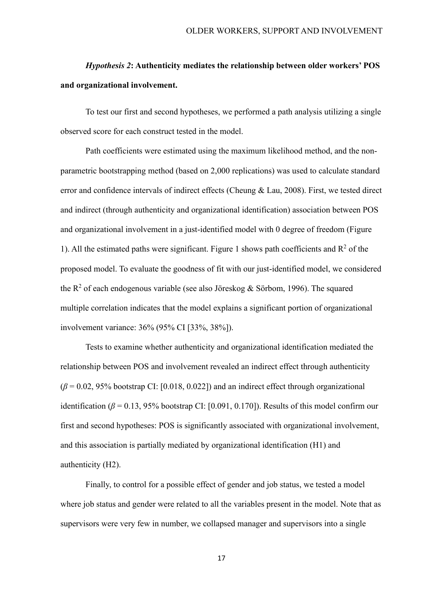# *Hypothesis 2***: Authenticity mediates the relationship between older workers' POS and organizational involvement.**

To test our first and second hypotheses, we performed a path analysis utilizing a single observed score for each construct tested in the model.

Path coefficients were estimated using the maximum likelihood method, and the nonparametric bootstrapping method (based on 2,000 replications) was used to calculate standard error and confidence intervals of indirect effects (Cheung & Lau, 2008). First, we tested direct and indirect (through authenticity and organizational identification) association between POS and organizational involvement in a just-identified model with 0 degree of freedom (Figure 1). All the estimated paths were significant. Figure 1 shows path coefficients and  $R^2$  of the proposed model. To evaluate the goodness of fit with our just-identified model, we considered the  $\mathbb{R}^2$  of each endogenous variable (see also Jöreskog & Sörbom, 1996). The squared multiple correlation indicates that the model explains a significant portion of organizational involvement variance: 36% (95% CI [33%, 38%]).

Tests to examine whether authenticity and organizational identification mediated the relationship between POS and involvement revealed an indirect effect through authenticity  $(\beta = 0.02, 95\%$  bootstrap CI: [0.018, 0.022]) and an indirect effect through organizational identification ( $\beta$  = 0.13, 95% bootstrap CI: [0.091, 0.170]). Results of this model confirm our first and second hypotheses: POS is significantly associated with organizational involvement, and this association is partially mediated by organizational identification (H1) and authenticity (H2).

Finally, to control for a possible effect of gender and job status, we tested a model where job status and gender were related to all the variables present in the model. Note that as supervisors were very few in number, we collapsed manager and supervisors into a single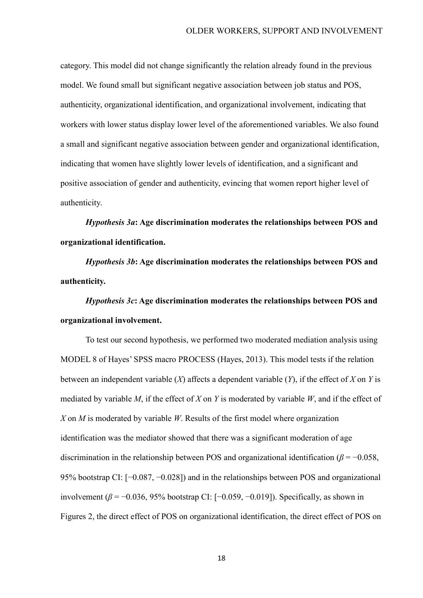category. This model did not change significantly the relation already found in the previous model. We found small but significant negative association between job status and POS, authenticity, organizational identification, and organizational involvement, indicating that workers with lower status display lower level of the aforementioned variables. We also found a small and significant negative association between gender and organizational identification, indicating that women have slightly lower levels of identification, and a significant and positive association of gender and authenticity, evincing that women report higher level of authenticity.

*Hypothesis 3a***: Age discrimination moderates the relationships between POS and organizational identification.** 

*Hypothesis 3b***: Age discrimination moderates the relationships between POS and authenticity.** 

*Hypothesis 3c***: Age discrimination moderates the relationships between POS and organizational involvement.**

To test our second hypothesis, we performed two moderated mediation analysis using MODEL 8 of Hayes' SPSS macro PROCESS [\(Hayes, 2013\)](http://0-www.sciencedirect.com.opac.unicatt.it/science/article/pii/S0747563217304429#bib19). This model tests if the relation between an independent variable (*X*) affects a dependent variable (*Y*), if the effect of *X* on *Y* is mediated by variable *M*, if the effect of *X* on *Y* is moderated by variable *W*, and if the effect of *X* on *M* is moderated by variable *W*. Results of the first model where organization identification was the mediator showed that there was a significant moderation of age discrimination in the relationship between POS and organizational identification ( $\beta$  = −0.058, 95% bootstrap CI: [−0.087, −0.028]) and in the relationships between POS and organizational involvement ( $\beta$  = −0.036, 95% bootstrap CI: [−0.059, −0.019]). Specifically, as shown in Figures 2, the direct effect of POS on organizational identification, the direct effect of POS on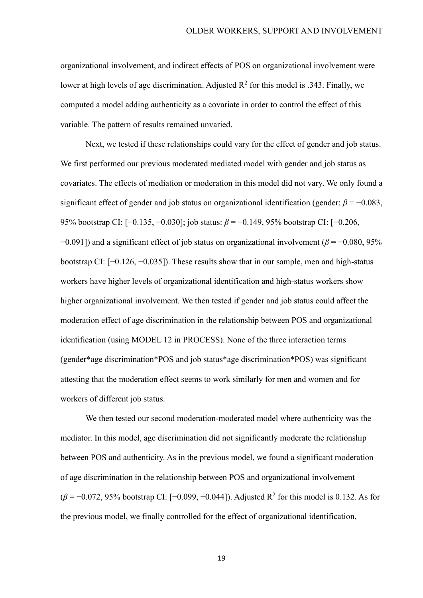organizational involvement, and indirect effects of POS on organizational involvement were lower at high levels of age discrimination. Adjusted  $R^2$  for this model is .343. Finally, we computed a model adding authenticity as a covariate in order to control the effect of this variable. The pattern of results remained unvaried.

Next, we tested if these relationships could vary for the effect of gender and job status. We first performed our previous moderated mediated model with gender and job status as covariates. The effects of mediation or moderation in this model did not vary. We only found a significant effect of gender and job status on organizational identification (gender:  $\beta = -0.083$ , 95% bootstrap CI: [−0.135, −0.030]; job status: *β* = −0.149, 95% bootstrap CI: [−0.206, −0.091]) and a significant effect of job status on organizational involvement (*β* = −0.080, 95% bootstrap CI: [−0.126, −0.035]). These results show that in our sample, men and high-status workers have higher levels of organizational identification and high-status workers show higher organizational involvement. We then tested if gender and job status could affect the moderation effect of age discrimination in the relationship between POS and organizational identification (using MODEL 12 in PROCESS). None of the three interaction terms (gender\*age discrimination\*POS and job status\*age discrimination\*POS) was significant attesting that the moderation effect seems to work similarly for men and women and for workers of different job status.

We then tested our second moderation-moderated model where authenticity was the mediator. In this model, age discrimination did not significantly moderate the relationship between POS and authenticity. As in the previous model, we found a significant moderation of age discrimination in the relationship between POS and organizational involvement  $(\beta = -0.072, 95\%$  bootstrap CI: [-0.099, -0.044]). Adjusted R<sup>2</sup> for this model is 0.132. As for the previous model, we finally controlled for the effect of organizational identification,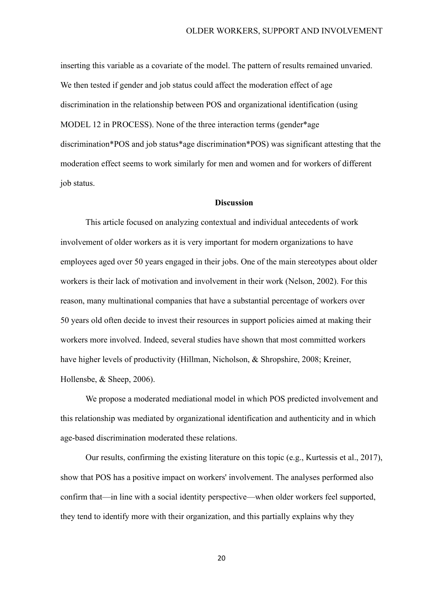inserting this variable as a covariate of the model. The pattern of results remained unvaried. We then tested if gender and job status could affect the moderation effect of age discrimination in the relationship between POS and organizational identification (using MODEL 12 in PROCESS). None of the three interaction terms (gender\*age discrimination\*POS and job status\*age discrimination\*POS) was significant attesting that the moderation effect seems to work similarly for men and women and for workers of different job status.

### **Discussion**

This article focused on analyzing contextual and individual antecedents of work involvement of older workers as it is very important for modern organizations to have employees aged over 50 years engaged in their jobs. One of the main stereotypes about older workers is their lack of motivation and involvement in their work (Nelson, 2002). For this reason, many multinational companies that have a substantial percentage of workers over 50 years old often decide to invest their resources in support policies aimed at making their workers more involved. Indeed, several studies have shown that most committed workers have higher levels of productivity (Hillman, Nicholson, & Shropshire, 2008; Kreiner, Hollensbe, & Sheep, 2006).

We propose a moderated mediational model in which POS predicted involvement and this relationship was mediated by organizational identification and authenticity and in which age-based discrimination moderated these relations.

Our results, confirming the existing literature on this topic (e.g., Kurtessis et al., 2017), show that POS has a positive impact on workers' involvement. The analyses performed also confirm that—in line with a social identity perspective—when older workers feel supported, they tend to identify more with their organization, and this partially explains why they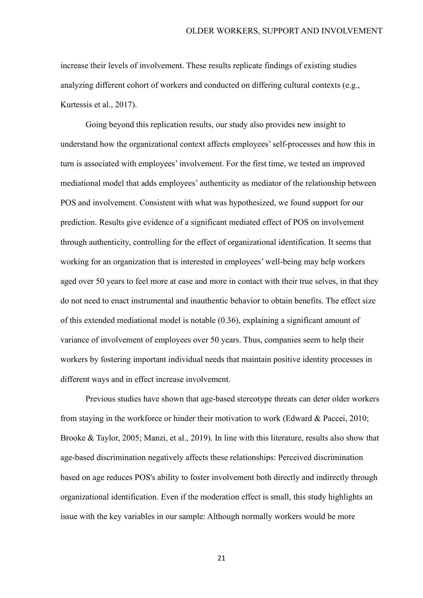increase their levels of involvement. These results replicate findings of existing studies analyzing different cohort of workers and conducted on differing cultural contexts (e.g., Kurtessis et al., 2017).

Going beyond this replication results, our study also provides new insight to understand how the organizational context affects employees' self-processes and how this in turn is associated with employees' involvement. For the first time, we tested an improved mediational model that adds employees' authenticity as mediator of the relationship between POS and involvement. Consistent with what was hypothesized, we found support for our prediction. Results give evidence of a significant mediated effect of POS on involvement through authenticity, controlling for the effect of organizational identification. It seems that working for an organization that is interested in employees' well-being may help workers aged over 50 years to feel more at ease and more in contact with their true selves, in that they do not need to enact instrumental and inauthentic behavior to obtain benefits. The effect size of this extended mediational model is notable (0.36), explaining a significant amount of variance of involvement of employees over 50 years. Thus, companies seem to help their workers by fostering important individual needs that maintain positive identity processes in different ways and in effect increase involvement.

Previous studies have shown that age-based stereotype threats can deter older workers from staying in the workforce or hinder their motivation to work (Edward & Paccei, 2010; Brooke & Taylor, 2005; Manzi, et al., 2019). In line with this literature, results also show that age-based discrimination negatively affects these relationships: Perceived discrimination based on age reduces POS's ability to foster involvement both directly and indirectly through organizational identification. Even if the moderation effect is small, this study highlights an issue with the key variables in our sample: Although normally workers would be more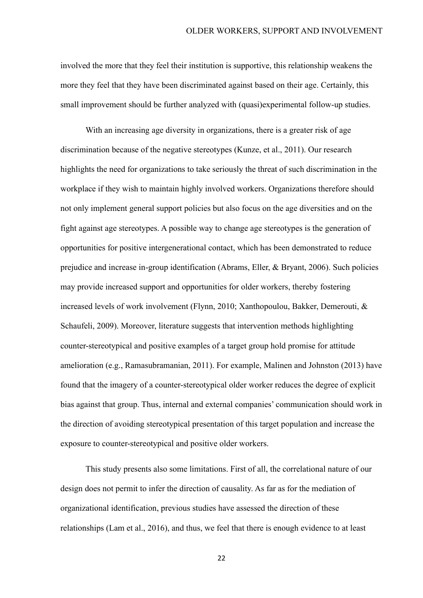involved the more that they feel their institution is supportive, this relationship weakens the more they feel that they have been discriminated against based on their age. Certainly, this small improvement should be further analyzed with (quasi)experimental follow-up studies.

With an increasing age diversity in organizations, there is a greater risk of age discrimination because of the negative stereotypes (Kunze, et al., 2011). Our research highlights the need for organizations to take seriously the threat of such discrimination in the workplace if they wish to maintain highly involved workers. Organizations therefore should not only implement general support policies but also focus on the age diversities and on the fight against age stereotypes. A possible way to change age stereotypes is the generation of opportunities for positive intergenerational contact, which has been demonstrated to reduce prejudice and increase in-group identification (Abrams, Eller, & Bryant, 2006). Such policies may provide increased support and opportunities for older workers, thereby fostering increased levels of work involvement (Flynn, 2010; Xanthopoulou, Bakker, Demerouti, & Schaufeli, 2009). Moreover, literature suggests that intervention methods highlighting counter-stereotypical and positive examples of a target group hold promise for attitude amelioration (e.g., Ramasubramanian, 2011). For example, Malinen and Johnston (2013) have found that the imagery of a counter-stereotypical older worker reduces the degree of explicit bias against that group. Thus, internal and external companies' communication should work in the direction of avoiding stereotypical presentation of this target population and increase the exposure to counter-stereotypical and positive older workers.

This study presents also some limitations. First of all, the correlational nature of our design does not permit to infer the direction of causality. As far as for the mediation of organizational identification, previous studies have assessed the direction of these relationships [\(Lam](https://journals.sagepub.com/doi/full/10.1177/0018726715584689) et al., 2016), and thus, we feel that there is enough evidence to at least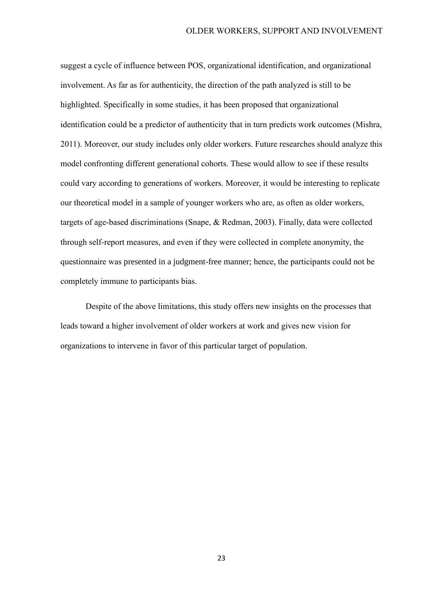suggest a cycle of influence between POS, organizational identification, and organizational involvement. As far as for authenticity, the direction of the path analyzed is still to be highlighted. Specifically in some studies, it has been proposed that organizational identification could be a predictor of authenticity that in turn predicts work outcomes (Mishra, 2011). Moreover, our study includes only older workers. Future researches should analyze this model confronting different generational cohorts. These would allow to see if these results could vary according to generations of workers. Moreover, it would be interesting to replicate our theoretical model in a sample of younger workers who are, as often as older workers, targets of age-based discriminations (Snape, & Redman, 2003). Finally, data were collected through self-report measures, and even if they were collected in complete anonymity, the questionnaire was presented in a judgment-free manner; hence, the participants could not be completely immune to participants bias.

Despite of the above limitations, this study offers new insights on the processes that leads toward a higher involvement of older workers at work and gives new vision for organizations to intervene in favor of this particular target of population.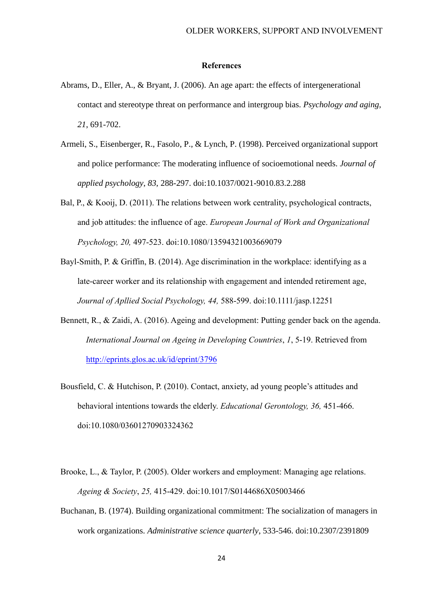#### **References**

- Abrams, D., Eller, A., & Bryant, J. (2006). An age apart: the effects of intergenerational contact and stereotype threat on performance and intergroup bias. *Psychology and aging*, *21*, 691-702.
- Armeli, S., Eisenberger, R., Fasolo, P., & Lynch, P. (1998). Perceived organizational support and police performance: The moderating influence of socioemotional needs. *Journal of applied psychology*, *83*, 288-297. doi:10.1037/0021-9010.83.2.288
- Bal, P., & Kooij, D. (2011). The relations between work centrality, psychological contracts, and job attitudes: the influence of age. *European Journal of Work and Organizational Psychology, 20,* 497-523. doi:10.1080/13594321003669079
- Bayl-Smith, P. & Griffin, B. (2014). Age discrimination in the workplace: identifying as a late-career worker and its relationship with engagement and intended retirement age, *Journal of Apllied Social Psychology, 44,* 588-599. doi:10.1111/jasp.12251
- Bennett, R., & Zaidi, A. (2016). Ageing and development: Putting gender back on the agenda. *International Journal on Ageing in Developing Countries*, *1*, 5-19. Retrieved from <http://eprints.glos.ac.uk/id/eprint/3796>
- Bousfield, C. & Hutchison, P. (2010). Contact, anxiety, ad young people's attitudes and behavioral intentions towards the elderly. *Educational Gerontology, 36,* 451-466. doi:10.1080/03601270903324362
- Brooke, L., & Taylor, P. (2005). Older workers and employment: Managing age relations. *Ageing & Society*, *25,* 415-429. doi:10.1017/S0144686X05003466
- Buchanan, B. (1974). Building organizational commitment: The socialization of managers in work organizations. *Administrative science quarterly*, 533-546. doi:10.2307/2391809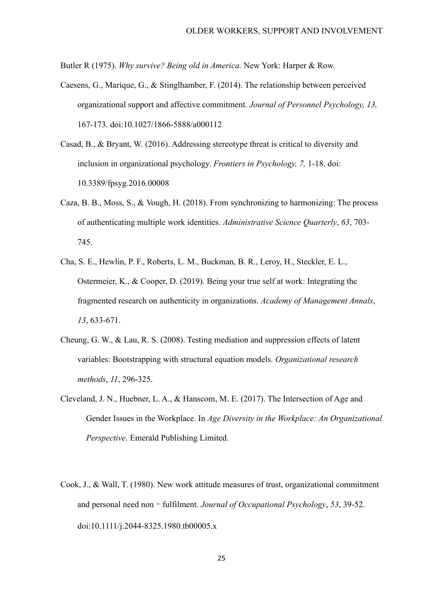Butler R (1975). *Why survive? Being old in America.* New York: Harper & Row.

- Caesens, G., Marique, G., & Stinglhamber, F. (2014). The relationship between perceived organizational support and affective commitment. *Journal of Personnel Psychology, 13,*  167-173. doi:10.1027/1866-5888/a000112
- Casad, B., & Bryant, W. (2016). Addressing stereotype threat is critical to diversity and inclusion in organizational psychology. *Frontiers in Psychology, 7,* 1-18. doi: 10.3389/fpsyg.2016.00008
- Caza, B. B., Moss, S., & Vough, H. (2018). From synchronizing to harmonizing: The process of authenticating multiple work identities. *Administrative Science Quarterly*, *63*, 703- 745.
- Cha, S. E., Hewlin, P. F., Roberts, L. M., Buckman, B. R., Leroy, H., Steckler, E. L., Ostermeier, K., & Cooper, D. (2019). Being your true self at work: Integrating the fragmented research on authenticity in organizations. *Academy of Management Annals*, *13*, 633-671.
- Cheung, G. W., & Lau, R. S. (2008). Testing mediation and suppression effects of latent variables: Bootstrapping with structural equation models. *Organizational research methods*, *11*, 296-325.
- Cleveland, J. N., Huebner, L. A., & Hanscom, M. E. (2017). The Intersection of Age and Gender Issues in the Workplace. In *Age Diversity in the Workplace: An Organizational Perspective*. Emerald Publishing Limited.
- Cook, J., & Wall, T. (1980). New work attitude measures of trust, organizational commitment and personal need non - fulfilment. *Journal of Occupational Psychology*, 53, 39-52. doi:10.1111/j.2044-8325.1980.tb00005.x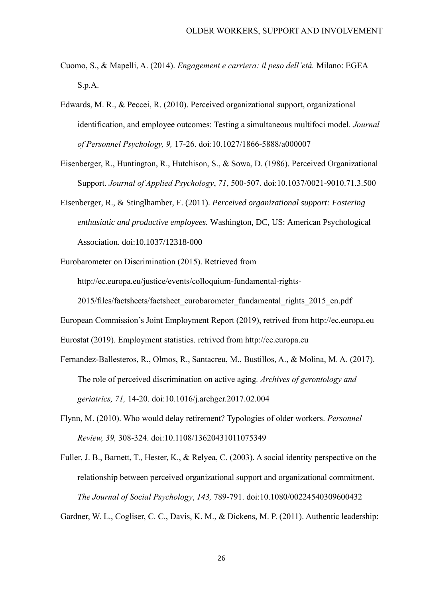- Cuomo, S., & Mapelli, A. (2014). *Engagement e carriera: il peso dell'età.* Milano: EGEA S.p.A.
- Edwards, M. R., & Peccei, R. (2010). Perceived organizational support, organizational identification, and employee outcomes: Testing a simultaneous multifoci model. *Journal of Personnel Psychology, 9,* 17-26. doi:10.1027/1866-5888/a000007
- Eisenberger, R., Huntington, R., Hutchison, S., & Sowa, D. (1986). Perceived Organizational Support. *Journal of Applied Psychology*, *71*, 500-507. doi:10.1037/0021-9010.71.3.500
- Eisenberger, R., & Stinglhamber, F. (2011). *Perceived organizational support: Fostering enthusiatic and productive employees.* Washington, DC, US: American Psychological Association. doi:10.1037/12318-000
- Eurobarometer on Discrimination (2015). Retrieved from http://ec.europa.eu/justice/events/colloquium-fundamental-rights-2015/files/factsheets/factsheet\_eurobarometer\_fundamental\_rights\_2015\_en.pdf

European Commission's Joint Employment Report (2019), retrived from http://ec.europa.eu

Eurostat (2019). Employment statistics. retrived from http://ec.europa.eu

- Fernandez-Ballesteros, R., Olmos, R., Santacreu, M., Bustillos, A., & Molina, M. A. (2017). The role of perceived discrimination on active aging*. Archives of gerontology and geriatrics, 71,* 14-20. doi:10.1016/j.archger.2017.02.004
- Flynn, M. (2010). Who would delay retirement? Typologies of older workers. *Personnel Review, 39,* 308-324. doi:10.1108/13620431011075349
- Fuller, J. B., Barnett, T., Hester, K., & Relyea, C. (2003). A social identity perspective on the relationship between perceived organizational support and organizational commitment. *The Journal of Social Psychology*, *143,* 789-791. doi:10.1080/00224540309600432

Gardner, W. L., Cogliser, C. C., Davis, K. M., & Dickens, M. P. (2011). Authentic leadership: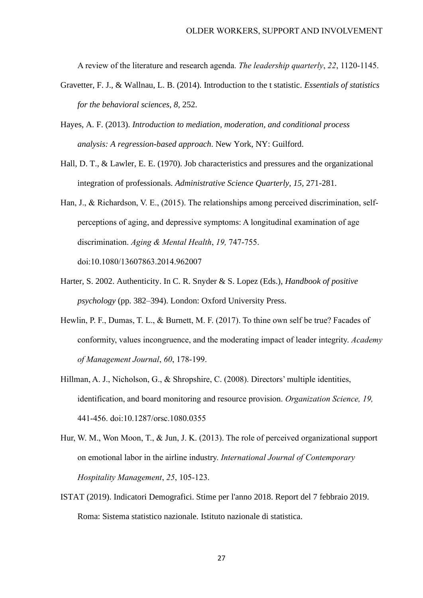A review of the literature and research agenda. *The leadership quarterly*, *22*, 1120-1145.

- Gravetter, F. J., & Wallnau, L. B. (2014). Introduction to the t statistic. *Essentials of statistics for the behavioral sciences, 8,* 252.
- Hayes, A. F. (2013). *Introduction to mediation, moderation, and conditional process analysis: A regression-based approach*. New York, NY: Guilford.
- Hall, D. T., & Lawler, E. E. (1970). Job characteristics and pressures and the organizational integration of professionals. *Administrative Science Quarterly, 15,* 271-281.
- Han, J., & Richardson, V. E., (2015). The relationships among perceived discrimination, selfperceptions of aging, and depressive symptoms: A longitudinal examination of age discrimination. *Aging & Mental Health*, *19,* 747-755. doi:10.1080/13607863.2014.962007
- Harter, S. 2002. Authenticity. In C. R. Snyder & S. Lopez (Eds.), *Handbook of positive psychology* (pp. 382–394). London: Oxford University Press.
- Hewlin, P. F., Dumas, T. L., & Burnett, M. F. (2017). To thine own self be true? Facades of conformity, values incongruence, and the moderating impact of leader integrity. *Academy of Management Journal*, *60*, 178-199.
- Hillman, A. J., Nicholson, G., & Shropshire, C. (2008). Directors' multiple identities, identification, and board monitoring and resource provision. *Organization Science, 19,* 441-456. doi:10.1287/orsc.1080.0355
- Hur, W. M., Won Moon, T., & Jun, J. K. (2013). The role of perceived organizational support on emotional labor in the airline industry. *International Journal of Contemporary Hospitality Management*, *25*, 105-123.
- ISTAT (2019). Indicatori Demografici. Stime per l'anno 2018. Report del 7 febbraio 2019. Roma: Sistema statistico nazionale. Istituto nazionale di statistica.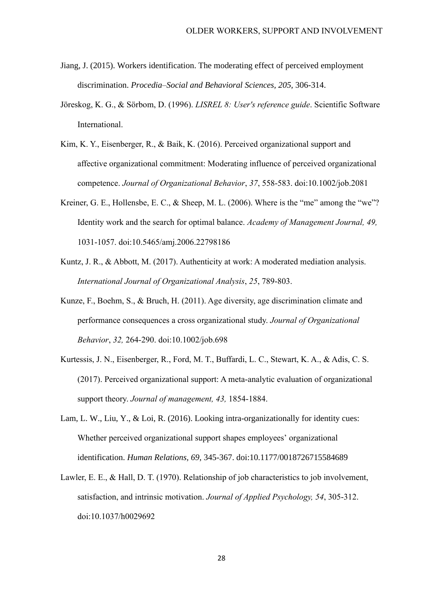- Jiang, J. (2015). Workers identification. The moderating effect of perceived employment discrimination. *Procedia–Social and Behavioral Sciences, 205,* 306-314.
- Jöreskog, K. G., & Sörbom, D. (1996). *LISREL 8: User's reference guide*. Scientific Software International.
- Kim, K. Y., Eisenberger, R., & Baik, K. (2016). Perceived organizational support and affective organizational commitment: Moderating influence of perceived organizational competence. *Journal of Organizational Behavior*, *37*, 558-583. doi:10.1002/job.2081
- Kreiner, G. E., Hollensbe, E. C., & Sheep, M. L. (2006). Where is the "me" among the "we"? Identity work and the search for optimal balance. *Academy of Management Journal, 49,* 1031-1057. doi:10.5465/amj.2006.22798186
- Kuntz, J. R., & Abbott, M. (2017). Authenticity at work: A moderated mediation analysis. *International Journal of Organizational Analysis*, *25*, 789-803.
- Kunze, F., Boehm, S., & Bruch, H. (2011). Age diversity, age discrimination climate and performance consequences a cross organizational study. *Journal of Organizational Behavior*, *32,* 264-290. doi:10.1002/job.698
- Kurtessis, J. N., Eisenberger, R., Ford, M. T., Buffardi, L. C., Stewart, K. A., & Adis, C. S. (2017). Perceived organizational support: A meta-analytic evaluation of organizational support theory. *Journal of management, 43,* 1854-1884.
- Lam, L. W., Liu, Y., & Loi, R. (2016). Looking intra-organizationally for identity cues: Whether perceived organizational support shapes employees' organizational identification. *Human Relations, 69,* 345-367. doi:10.1177/0018726715584689
- Lawler, E. E., & Hall, D. T. (1970). Relationship of job characteristics to job involvement, satisfaction, and intrinsic motivation. *Journal of Applied Psychology, 54*, 305-312. doi:10.1037/h0029692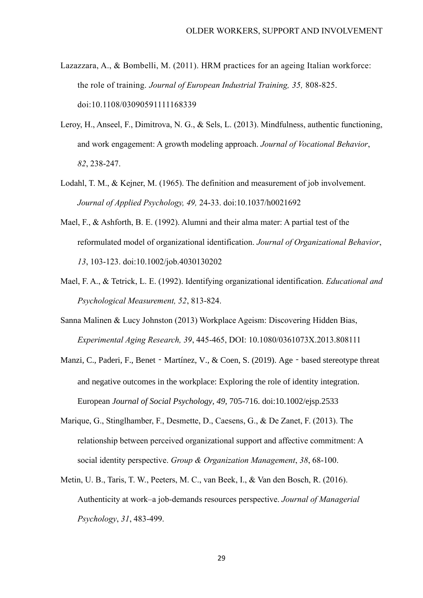- [Lazazzara,](https://www.emeraldinsight.com/author/Lazazzara%2C+Alessandra) A., & [Bombelli,](https://www.emeraldinsight.com/author/Bombelli%2C+Maria+Cristina) M. (2011). HRM practices for an ageing Italian workforce: the role of training. *Journal of European Industrial Training, 35,* 808-825. doi:10.1108/03090591111168339
- Leroy, H., Anseel, F., Dimitrova, N. G., & Sels, L. (2013). Mindfulness, authentic functioning, and work engagement: A growth modeling approach. *Journal of Vocational Behavior*, *82*, 238-247.
- Lodahl, T. M., & Kejner, M. (1965). The definition and measurement of job involvement. *Journal of Applied Psychology, 49,* 24-33. doi:10.1037/h0021692
- Mael, F., & Ashforth, B. E. (1992). Alumni and their alma mater: A partial test of the reformulated model of organizational identification. *Journal of Organizational Behavior*, *13*, 103-123. doi:10.1002/job.4030130202
- Mael, F. A., & Tetrick, L. E. (1992). Identifying organizational identification. *Educational and Psychological Measurement, 52*, 813-824.
- Sanna Malinen & Lucy Johnston (2013) Workplace Ageism: Discovering Hidden Bias, *Experimental Aging Research, 39*, 445-465, DOI: 10.1080/0361073X.2013.808111
- Manzi, C., Paderi, F., Benet Martínez, V., & Coen, S. (2019). Age based stereotype threat and negative outcomes in the workplace: Exploring the role of identity integration. European *Journal of Social Psychology, 49,* 705-716. doi:10.1002/ejsp.2533
- Marique, G., Stinglhamber, F., Desmette, D., Caesens, G., & De Zanet, F. (2013). The relationship between perceived organizational support and affective commitment: A social identity perspective. *Group & Organization Management*, *38*, 68-100.
- Metin, U. B., Taris, T. W., Peeters, M. C., van Beek, I., & Van den Bosch, R. (2016). Authenticity at work–a job-demands resources perspective. *Journal of Managerial Psychology*, *31*, 483-499.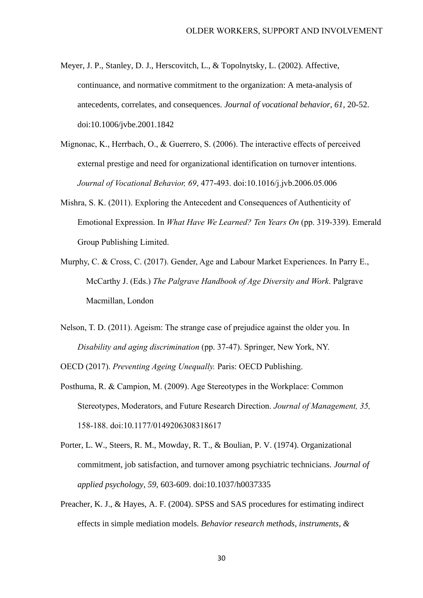- Meyer, J. P., Stanley, D. J., Herscovitch, L., & Topolnytsky, L. (2002). Affective, continuance, and normative commitment to the organization: A meta-analysis of antecedents, correlates, and consequences. *Journal of vocational behavior, 61,* 20-52. doi:10.1006/jvbe.2001.1842
- Mignonac, K., Herrbach, O., & Guerrero, S. (2006). The interactive effects of perceived external prestige and need for organizational identification on turnover intentions. *Journal of Vocational Behavior, 69*, 477-493. doi:10.1016/j.jvb.2006.05.006
- Mishra, S. K. (2011). Exploring the Antecedent and Consequences of Authenticity of Emotional Expression. In *What Have We Learned? Ten Years On* (pp. 319-339). Emerald Group Publishing Limited.
- Murphy, C. & Cross, C. (2017). Gender, Age and Labour Market Experiences. In Parry E., McCarthy J. (Eds.) *The Palgrave Handbook of Age Diversity and Work*. Palgrave Macmillan, London
- Nelson, T. D. (2011). Ageism: The strange case of prejudice against the older you. In *Disability and aging discrimination* (pp. 37-47). Springer, New York, NY.

OECD (2017). *Preventing Ageing Unequally.* Paris: OECD Publishing.

- Posthuma, R. & Campion, M. (2009). Age Stereotypes in the Workplace: Common Stereotypes, Moderators, and Future Research Direction. *Journal of Management, 35,* 158-188. doi:10.1177/0149206308318617
- Porter, L. W., Steers, R. M., Mowday, R. T., & Boulian, P. V. (1974). Organizational commitment, job satisfaction, and turnover among psychiatric technicians. *Journal of applied psychology, 59,* 603-609. doi:10.1037/h0037335
- Preacher, K. J., & Hayes, A. F. (2004). SPSS and SAS procedures for estimating indirect effects in simple mediation models. *Behavior research methods, instruments, &*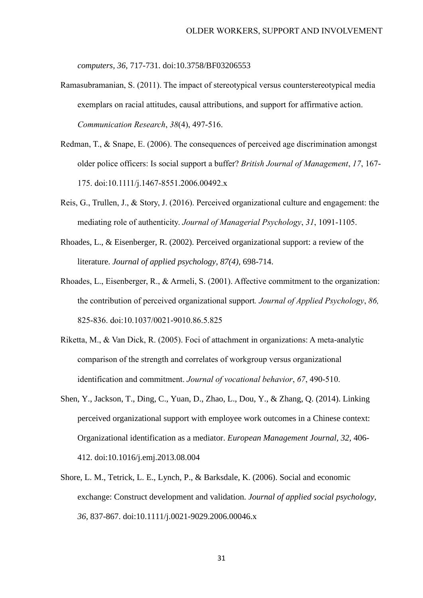*computers, 36,* 717-731. doi:10.3758/BF03206553

- Ramasubramanian, S. (2011). The impact of stereotypical versus counterstereotypical media exemplars on racial attitudes, causal attributions, and support for affirmative action. *Communication Research*, *38*(4), 497-516.
- Redman, T., & Snape, E. (2006). The consequences of perceived age discrimination amongst older police officers: Is social support a buffer? *British Journal of Management*, *17*, 167- 175. doi:10.1111/j.1467-8551.2006.00492.x
- Reis, G., Trullen, J., & Story, J. (2016). Perceived organizational culture and engagement: the mediating role of authenticity. *Journal of Managerial Psychology*, *31*, 1091-1105.
- Rhoades, L., & Eisenberger, R. (2002). Perceived organizational support: a review of the literature. *Journal of applied psychology, 87(4),* 698-714.
- Rhoades, L., Eisenberger, R., & Armeli, S. (2001). Affective commitment to the organization: the contribution of perceived organizational support*. Journal of Applied Psychology*, *86,* 825-836. doi:10.1037/0021-9010.86.5.825
- Riketta, M., & Van Dick, R. (2005). Foci of attachment in organizations: A meta-analytic comparison of the strength and correlates of workgroup versus organizational identification and commitment. *Journal of vocational behavior*, *67*, 490-510.
- Shen, Y., Jackson, T., Ding, C., Yuan, D., Zhao, L., Dou, Y., & Zhang, Q. (2014). Linking perceived organizational support with employee work outcomes in a Chinese context: Organizational identification as a mediator. *European Management Journal, 32,* 406- 412. doi:10.1016/j.emj.2013.08.004
- Shore, L. M., Tetrick, L. E., Lynch, P., & Barksdale, K. (2006). Social and economic exchange: Construct development and validation. *Journal of applied social psychology, 36,* 837-867. doi:10.1111/j.0021-9029.2006.00046.x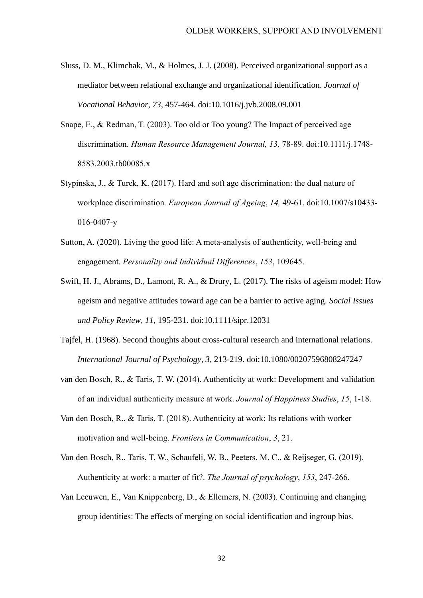- Sluss, D. M., Klimchak, M., & Holmes, J. J. (2008). Perceived organizational support as a mediator between relational exchange and organizational identification. *Journal of Vocational Behavior, 73,* 457-464. doi:10.1016/j.jvb.2008.09.001
- Snape, E., & Redman, T. (2003). Too old or Too young? The Impact of perceived age discrimination. *Human Resource Management Journal, 13,* 78-89. doi:10.1111/j.1748- 8583.2003.tb00085.x
- Stypinska, J., & Turek, K. (2017). Hard and soft age discrimination: the dual nature of workplace discrimination*. European Journal of Ageing*, *14,* 49-61. doi:10.1007/s10433- 016-0407-y
- Sutton, A. (2020). Living the good life: A meta-analysis of authenticity, well-being and engagement. *Personality and Individual Differences*, *153*, 109645.
- Swift, H. J., Abrams, D., Lamont, R. A., & Drury, L. (2017). The risks of ageism model: How ageism and negative attitudes toward age can be a barrier to active aging. *Social Issues and Policy Review, 11,* 195-231. doi:10.1111/sipr.12031
- Tajfel, H. (1968). Second thoughts about cross-cultural research and international relations. *International Journal of Psychology, 3,* 213-219. doi:10.1080/00207596808247247
- van den Bosch, R., & Taris, T. W. (2014). Authenticity at work: Development and validation of an individual authenticity measure at work. *Journal of Happiness Studies*, *15*, 1-18.
- Van den Bosch, R., & Taris, T. (2018). Authenticity at work: Its relations with worker motivation and well-being. *Frontiers in Communication*, *3*, 21.
- Van den Bosch, R., Taris, T. W., Schaufeli, W. B., Peeters, M. C., & Reijseger, G. (2019). Authenticity at work: a matter of fit?. *The Journal of psychology*, *153*, 247-266.
- Van Leeuwen, E., Van Knippenberg, D., & Ellemers, N. (2003). Continuing and changing group identities: The effects of merging on social identification and ingroup bias.